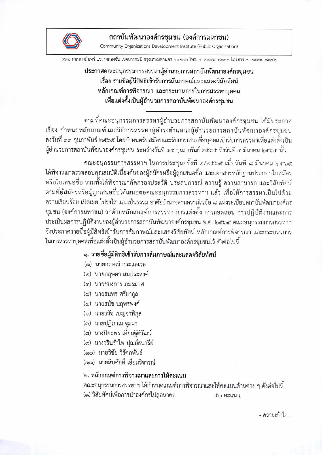

ิสถาบันพัฒนาองค์กรชุมชน (องค์การมหาชน) Community Organizations Development Institute (Public Organization)

สด๒ ถนนนวมินทร์ แขวงคลองจั่น เขตบางกะปิ กรุงเทพมหานคร ด๐๒๔๐ โทร. ๐–๒๓๗๘–๘๓๐๐ โทรสาร ๐–๒๓๗๘–๘๓๔๒

## ประกาศคณะอนุกรรมการสรรหาผู้อำนวยการสถาบันพัฒนาองค์กรชมชน เรื่อง รายชื่อผู้มีสิทธิเข้ารับการสัมภาษณ์และแสดงวิสัยทัศน์ หลักเกณฑ์การพิจารณา และกระบวนการในการสรรหาบุคคล เพื่อแต่งตั้งเป็นผู้อำนวยการสถาบันพัฒนาองค์กรชุมชน

ตามที่คณะอนุกรรมการสรรหาผู้อำนวยการสถาบันพัฒนาองค์กรชมชน ได้มีประกาศ เรื่อง กำหนดหลักเกณฑ์และวิธีการสรรหาผู้ดำรงตำแหน่งผู้อำนวยการสถาบันพัฒนาองค์กรชุมชน ลงวันที่ ๑๑ กุมภาพันธ์ ๒๕๖๕ โดยกำหนดรับสมัครและรับการเสนอชื่อบุคคลเข้ารับการสรรหาเพื่อแต่งตั้งเป็น ผู้อำนวยการสถาบันพัฒนาองค์กรชุมชน ระหว่างวันที่ ๑๔ กุมภาพันธ์ ๒๕๖๕ ถึงวันที่ ๔ มีนาคม ๒๕๖๕ นั้น

คณะอนุกรรมการสรรหาฯ ในการประชุมครั้งที่ ๒/๒๕๖๕ เมื่อวันที่ ๘ มีนาคม ๒๕๖๕ ได้พิจารณาตรวจสอบคุณสมบัติเบื้องต้นของผู้สมัครหรือผู้ถูกเสนอชื่อ และเอกสารหลักฐานประกอบใบสมัคร หรือใบเสนอชื่อ รวมทั้งได้พิจารณาคัดกรองประวัติ ประสบการณ์ ความรู้ ความสามารถ และวิสัยทัศน์ ตามที่ผู้สมัครหรือผู้ถูกเสนอชื่อได้เสนอต่อคณะอนุกรรมการสรรหาฯ แล้ว เพื่อให้การสรรหาเป็นไปด้วย ความเรียบร้อย เปิดเผย โปร่งใส และเป็นธรรม อาศัยอำนาจตามความในข้อ ๘ แห่งระเบียบสถาบันพัฒนาองค์กร ชุมชน (องค์การมหาชน) ว่าด้วยหลักเกณฑ์การสรรหา การแต่งตั้ง การถอดถอน การปฏิบัติงานและการ ประเมินผลการปฏิบัติงานของผู้อำนวยการสถาบันพัฒนาองค์กรชุมชน พ.ศ. ๒๕๖๔ คณะอนุกรรมการสรรหาฯ จึงประกาศรายชื่อผู้มีสิทธิเข้ารับการสัมภาษณ์และแสดงวิสัยทัศน์ หลักเกณฑ์การพิจารณา และกระบวนการ ในการสรรหาบุคคลเพื่อแต่งตั้งเป็นผู้อำนวยการสถาบันพัฒนาองค์กรชุมชนไว้ ดังต่อไปนี้

#### ๑. รายชื่อผู้มีสิทธิเข้ารับการสัมภาษณ์และแสดงวิสัยทัศน์

- (๑) นายกฤษณ์ กระแสเวส
- (๒) นายกฤษดา สมประสงค์
- (๓) นายชยงการ ภมรมาศ
- (๔) นายธนพร ศรียากูล
- (๕) นายธนัช นฤพรพงศ์
- (๖) นายธวัช เบญจาทิกุล
- (๗) นายปฏิภาณ จุมผา
- (๘) นางปิยะพร เอี่ยมฐิติวัฒน์
- (๙) นางวรินรำไพ ปุณย์ธนารีย์
- (๑๐) นายวิชัย วิรัตกพันธ์
- (๑๑) นายสืบศักดิ์ เอี่ยมวิจารณ์

#### ๒. หลักเกณฑ์การพิจารณาและการให้คะแนน

ึคณะอนุกรรมการสรรหาฯ ได้กำหนดเกณฑ์การพิจารณาและให้คะแนนด้านต่าง ๆ ดังต่อไปนี้ (๑) วิสัยทัศน์เพื่อการนำองค์กรไปสู่อนาคต ๕๐ คะแนน

- ความเข้าใจ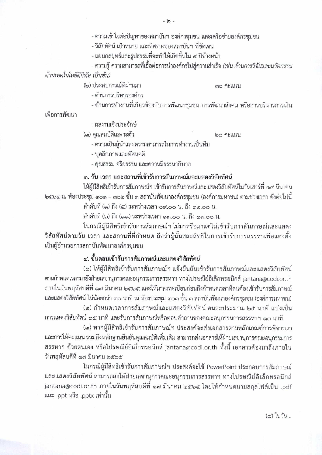- ความเข้าใจต่อปัญหาของสถาบันฯ องค์กรชุมชน และเครือข่ายองค์กรชุมชน

- วิสัยทัศน์ เป้าหมาย และทิศทางของสถาบันฯ ที่ชัดเจน

- แผนกลยทธ์และรปธรรมที่จะทำให้เกิดขึ้นใน ๔ ปีข้างหน้า

- ความรู้ ความสามารถที่เอื้อต่อการนำองค์กรไปสู่ความสำเร็จ *(เช่น ด้านการวิจัยและนวัตกรรม* ด้านเทคโนโลยีดิจิทัล เป็นต้น)

(๒) ประสบการณ์ที่ผ่านมา

**๓๐ คะแนน** 

- ด้านการบริหารองค์กร

- ด้านการทำงานที่เกี่ยวข้องกับการพัฒนาชุมชน การพัฒนาสังคม หรือการบริหารการเงิน

เพื่อการพัฒนา

- ผลงานเชิงประจักษ์

(๓) คุณสมบัติเฉพาะตัว

ดา คะแนน

- ความเป็นผู้นำและความสามารถในการทำงานเป็นทีม

- บุคลิกภาพและทัศนคติ

- คุณธรรม จริยธรรม และความมีธรรมาภิบาล

#### ๓. วัน เวลา และสถานที่เข้ารับการสัมภาษณ์และแสดงวิสัยทัศน์

ให้ผู้มีสิทธิเข้ารับการสัมภาษณ์ฯ เข้ารับการสัมภาษณ์และแสดงวิสัยทัศน์ในวันเสาร์ที่ ๑๙ มีนาคม ๒๕๖๕ ณ ห้องประชุม ๓๐๑ – ๓๐๒ ชั้น ๓ สถาบันพัฒนาองค์กรชุมชน (องค์การมหาชน) ตามช่วงเวลา ดังต่อไปนี้

ลำดับที่ (๑) ถึง (๕) ระหว่างเวลา ๐๙.๐๐ น. ถึง ๑๒.๐๐ น.

ลำดับที่ (๖) ถึง (๑๑) ระหว่างเวลา ๑๓.๐๐ น. ถึง ๑๗.๐๐ น.

ในกรณีผู้มีสิทธิเข้ารับการสัมภาษณ์ฯ ไม่มาหรือมาแต่ไม่เข้ารับการสัมภาษณ์และแสดง วิสัยทัศน์ตามวัน เวลา และสถานที่ที่กำหนด ถือว่าผู้นั้นสละสิทธิในการเข้ารับการสรรหาเพื่อแต่งตั้ง เป็นผู้อำนวยการสถาบันพัฒนาองค์กรชมชน

### ๔. ขั้นตอนเข้ารับการสัมภาษณ์และแสดงวิสัยทัศน์

(๑) ให้ผู้มีสิทธิเข้ารับการสัมภาษณ์ฯ แจ้งยืนยันเข้ารับการสัมภาษณ์และแสดงวิสัยทัศน์ ตามกำหนดเวลามายังฝ่ายเลขานุการคณะอนุกรรมการสรรหาฯ ทางไปรษณีย์อิเล็กทรอนิกส์ jantana@codi.or.th ภายในวันพฤหัสบดีที่ ๑๗ มีนาคม ๒๕๖๕ และให้มาลงทะเบียนก่อนถึงกำหนดเวลาที่ตนต้องเข้ารับการสัมภาษณ์ และแสดงวิสัยทัศน์ ไม่น้อยกว่า ๓๐ นาที ณ ห้องประชุม ๓๐๓ ชั้น ๓ สถาบันพัฒนาองค์กรชุมชน (องค์การมหาชน) (๒) กำหนดเวลาการสัมภาษณ์และแสดงวิสัยทัศน์ คนละประมาณ ๒๕ นาที แบ่งเป็น

การแสดงวิสัยทัศน์ ๑๕ นาที และรับการสัมภาษณ์หรือตอบคำถามของคณะอนุกรรมการสรรหาฯ ๑๐ นาที (๓) หากผู้มีสิทธิเข้ารับการสัมภาษณ์ฯ ประสงค์จะส่งเอกสารตามหลักเกณฑ์การพิจารณา

และการให้คะแนน รวมถึงหลักฐานยืนยันคุณสมบัติเพิ่มเติม สามารถส่งเอกสารให้ฝ่ายเลขานุการคณะอนุกรรมการ สรรหาฯ ด้วยตนเอง หรือไปรษณีย์อิเล็กทรอนิกส์ jantana@codi.or.th ทั้งนี้ เอกสารต้องมาถึงภายใน วันพฤหัสบดีที่ ๑๗ มีนาคม ๒๕๖๕

ในกรณีผู้มีสิทธิเข้ารับการสัมภาษณ์ฯ ประสงค์จะใช้ PowerPoint ประกอบการสัมภาษณ์ และแสดงวิสัยทัศน์ สามารถส่งให้ฝ่ายเลขานุการคณะอนุกรรมการสรรหาฯ ทางไปรษณีย์อิเล็กทรอนิกส์ jantana@codi.or.th ภายในวันพฤหัสบดีที่ ๑๗ มีนาคม ๒๕๖๕ โดยให้กำหนดนามสกุลไฟล์เป็น .pdf และ .ppt หรือ .pptx เท่านั้น

(๙) ในวัน